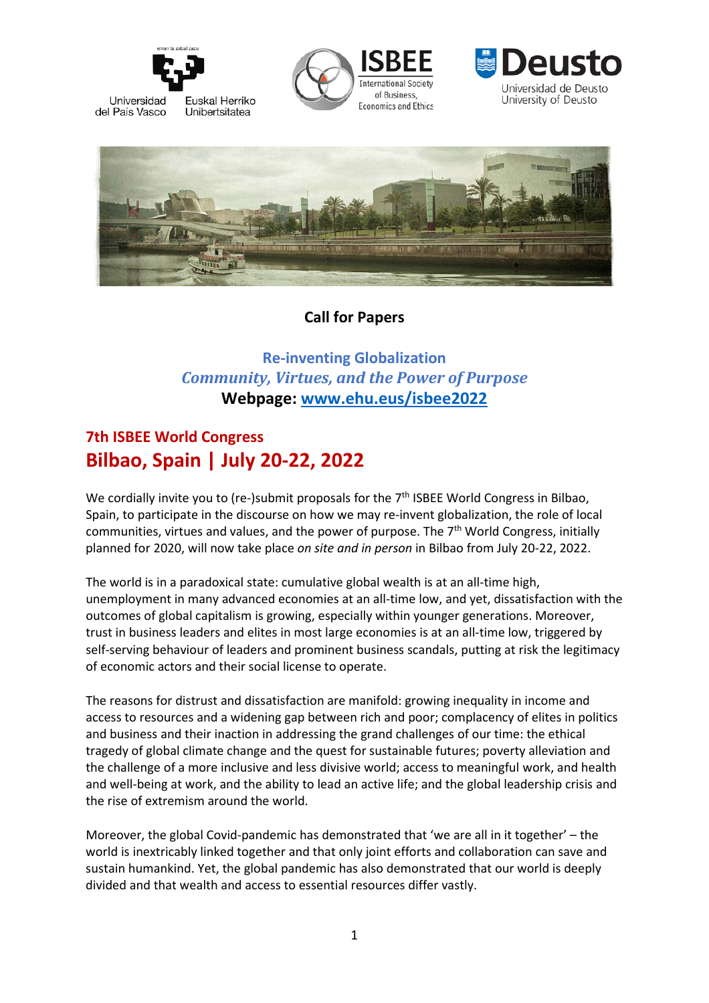

Universidad Euskal Herriko del País Vasco Unibertsitatea







# **Call for Papers**

**Re-inventing Globalization** *Community, Virtues, and the Power of Purpose* **Webpage: [www.ehu.eus/isbee2022](http://www.ehu.eus/isbee2022)**

# **7th ISBEE World Congress Bilbao, Spain | July 20-22, 2022**

We cordially invite you to (re-)submit proposals for the  $7<sup>th</sup>$  ISBEE World Congress in Bilbao, Spain, to participate in the discourse on how we may re-invent globalization, the role of local communities, virtues and values, and the power of purpose. The 7<sup>th</sup> World Congress, initially planned for 2020, will now take place *on site and in person* in Bilbao from July 20-22, 2022.

The world is in a paradoxical state: cumulative global wealth is at an all-time high, unemployment in many advanced economies at an all-time low, and yet, dissatisfaction with the outcomes of global capitalism is growing, especially within younger generations. Moreover, trust in business leaders and elites in most large economies is at an all-time low, triggered by self-serving behaviour of leaders and prominent business scandals, putting at risk the legitimacy of economic actors and their social license to operate.

The reasons for distrust and dissatisfaction are manifold: growing inequality in income and access to resources and a widening gap between rich and poor; complacency of elites in politics and business and their inaction in addressing the grand challenges of our time: the ethical tragedy of global climate change and the quest for sustainable futures; poverty alleviation and the challenge of a more inclusive and less divisive world; access to meaningful work, and health and well-being at work, and the ability to lead an active life; and the global leadership crisis and the rise of extremism around the world.

Moreover, the global Covid-pandemic has demonstrated that 'we are all in it together' – the world is inextricably linked together and that only joint efforts and collaboration can save and sustain humankind. Yet, the global pandemic has also demonstrated that our world is deeply divided and that wealth and access to essential resources differ vastly.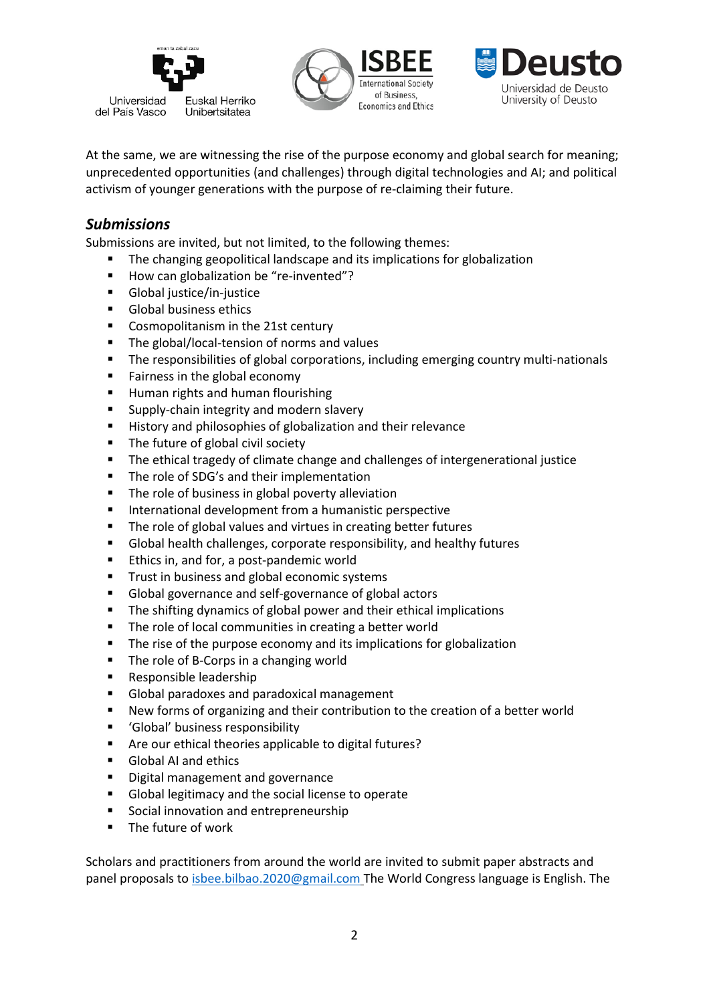





At the same, we are witnessing the rise of the purpose economy and global search for meaning; unprecedented opportunities (and challenges) through digital technologies and AI; and political activism of younger generations with the purpose of re-claiming their future.

## *Submissions*

Submissions are invited, but not limited, to the following themes:

- The changing geopolitical landscape and its implications for globalization
- How can globalization be "re-invented"?
- Global justice/in-justice
- **Global business ethics**
- Cosmopolitanism in the 21st century
- The global/local-tension of norms and values
- The responsibilities of global corporations, including emerging country multi-nationals
- **Fairness in the global economy**
- **Human rights and human flourishing**
- **Supply-chain integrity and modern slavery**
- **History and philosophies of globalization and their relevance**
- The future of global civil society
- **The ethical tragedy of climate change and challenges of intergenerational justice**
- **The role of SDG's and their implementation**
- **The role of business in global poverty alleviation**
- **International development from a humanistic perspective**
- **The role of global values and virtues in creating better futures**
- Global health challenges, corporate responsibility, and healthy futures
- **Ethics in, and for, a post-pandemic world**
- **Trust in business and global economic systems**
- Global governance and self-governance of global actors
- **The shifting dynamics of global power and their ethical implications**
- **The role of local communities in creating a better world**
- **The rise of the purpose economy and its implications for globalization**
- The role of B-Corps in a changing world
- Responsible leadership
- Global paradoxes and paradoxical management
- New forms of organizing and their contribution to the creation of a better world
- 'Global' business responsibility
- Are our ethical theories applicable to digital futures?
- Global AI and ethics
- **Digital management and governance**
- Global legitimacy and the social license to operate
- **Social innovation and entrepreneurship**
- **The future of work**

Scholars and practitioners from around the world are invited to submit paper abstracts and panel proposals to [isbee.bilbao.2020@gmail.com](mailto:isbee.bilbao.2020@gmail.com) The World Congress language is English. The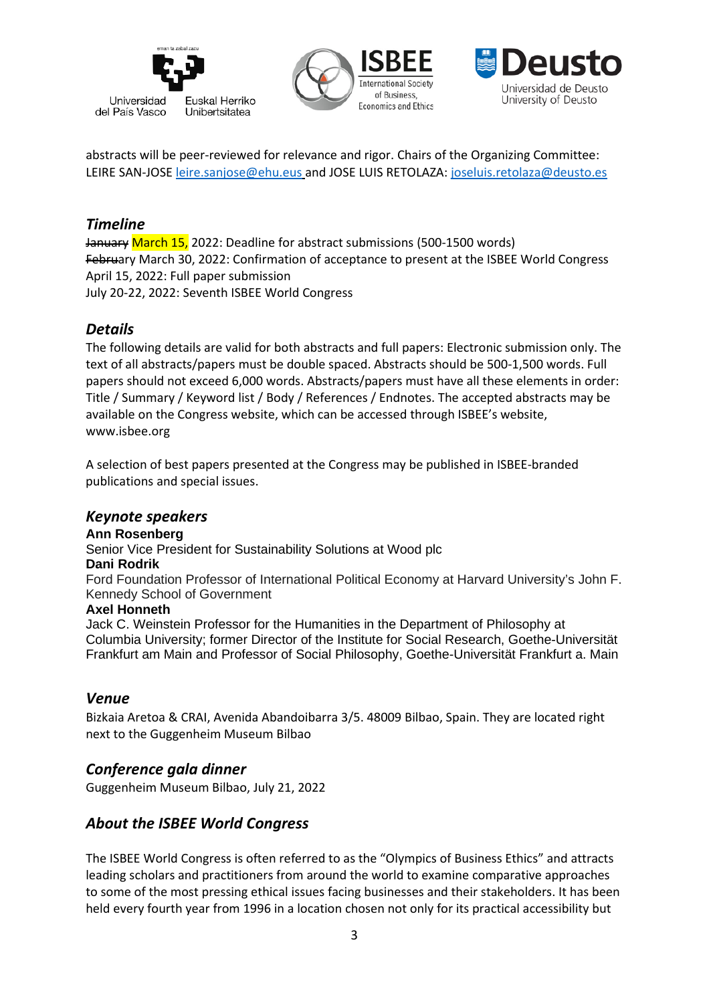





abstracts will be peer-reviewed for relevance and rigor. Chairs of the Organizing Committee: LEIRE SAN-JOSE [leire.sanjose@ehu.eus](mailto:leire.sanjose@ehu.eus) and JOSE LUIS RETOLAZA: [joseluis.retolaza@deusto.es](mailto:joseluis.retolaza@deusto.es)

## *Timeline*

January March 15, 2022: Deadline for abstract submissions (500-1500 words) February March 30, 2022: Confirmation of acceptance to present at the ISBEE World Congress April 15, 2022: Full paper submission July 20-22, 2022: Seventh ISBEE World Congress

# *Details*

The following details are valid for both abstracts and full papers: Electronic submission only. The text of all abstracts/papers must be double spaced. Abstracts should be 500-1,500 words. Full papers should not exceed 6,000 words. Abstracts/papers must have all these elements in order: Title / Summary / Keyword list / Body / References / Endnotes. The accepted abstracts may be available on the Congress website, which can be accessed through ISBEE's website, www.isbee.org

A selection of best papers presented at the Congress may be published in ISBEE-branded publications and special issues.

#### *Keynote speakers*

#### **Ann Rosenberg**

Senior Vice President for Sustainability Solutions at Wood plc

#### **Dani Rodrik**

Ford Foundation Professor of International Political Economy at Harvard University's John F. Kennedy School of Government

#### **Axel Honneth**

Jack C. Weinstein Professor for the Humanities in the Department of Philosophy at Columbia University; former Director of the Institute for Social Research, Goethe-Universität Frankfurt am Main and Professor of Social Philosophy, Goethe-Universität Frankfurt a. Main

#### *Venue*

Bizkaia Aretoa & CRAI, Avenida Abandoibarra 3/5. 48009 Bilbao, Spain. They are located right next to the Guggenheim Museum Bilbao

## *Conference gala dinner*

Guggenheim Museum Bilbao, July 21, 2022

# *About the ISBEE World Congress*

The ISBEE World Congress is often referred to as the "Olympics of Business Ethics" and attracts leading scholars and practitioners from around the world to examine comparative approaches to some of the most pressing ethical issues facing businesses and their stakeholders. It has been held every fourth year from 1996 in a location chosen not only for its practical accessibility but